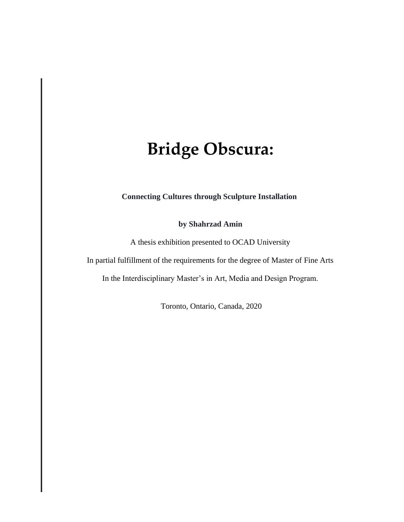# **Bridge Obscura:**

## **Connecting Cultures through Sculpture Installation**

### **by Shahrzad Amin**

A thesis exhibition presented to OCAD University

In partial fulfillment of the requirements for the degree of Master of Fine Arts

In the Interdisciplinary Master's in Art, Media and Design Program.

Toronto, Ontario, Canada, 2020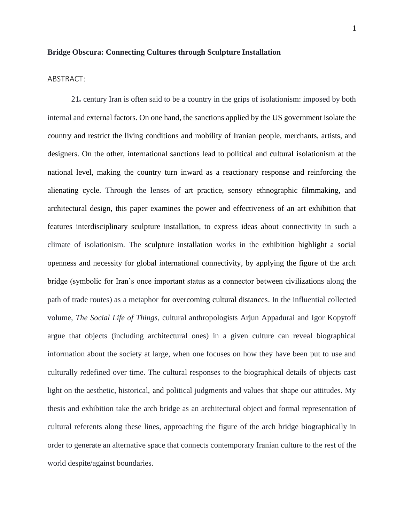#### **Bridge Obscura: Connecting Cultures through Sculpture Installation**

#### <span id="page-1-0"></span>ABSTRACT:

 $21<sub>s</sub>$  century Iran is often said to be a country in the grips of isolationism: imposed by both internal and external factors. On one hand, the sanctions applied by the US government isolate the country and restrict the living conditions and mobility of Iranian people, merchants, artists, and designers. On the other, international sanctions lead to political and cultural isolationism at the national level, making the country turn inward as a reactionary response and reinforcing the alienating cycle. Through the lenses of art practice, sensory ethnographic filmmaking, and architectural design, this paper examines the power and effectiveness of an art exhibition that features interdisciplinary sculpture installation, to express ideas about connectivity in such a climate of isolationism. The sculpture installation works in the exhibition highlight a social openness and necessity for global international connectivity, by applying the figure of the arch bridge (symbolic for Iran's once important status as a connector between civilizations along the path of trade routes) as a metaphor for overcoming cultural distances. In the influential collected volume, *The Social Life of Things*, cultural anthropologists Arjun Appadurai and Igor Kopytoff argue that objects (including architectural ones) in a given culture can reveal biographical information about the society at large, when one focuses on how they have been put to use and culturally redefined over time. The cultural responses to the biographical details of objects cast light on the aesthetic, historical, and political judgments and values that shape our attitudes. My thesis and exhibition take the arch bridge as an architectural object and formal representation of cultural referents along these lines, approaching the figure of the arch bridge biographically in order to generate an alternative space that connects contemporary Iranian culture to the rest of the world despite/against boundaries.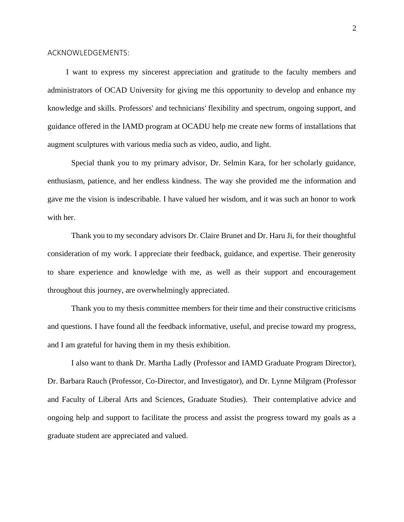#### <span id="page-2-0"></span>ACKNOWLEDGEMENTS:

I want to express my sincerest appreciation and gratitude to the faculty members and administrators of OCAD University for giving me this opportunity to develop and enhance my knowledge and skills. Professors' and technicians' flexibility and spectrum, ongoing support, and guidance offered in the IAMD program at OCADU help me create new forms of installations that augment sculptures with various media such as video, audio, and light.

Special thank you to my primary advisor, Dr. Selmin Kara, for her scholarly guidance, enthusiasm, patience, and her endless kindness. The way she provided me the information and gave me the vision is indescribable. I have valued her wisdom, and it was such an honor to work with her.

Thank you to my secondary advisors Dr. Claire Brunet and Dr. Haru Ji, for their thoughtful consideration of my work. I appreciate their feedback, guidance, and expertise. Their generosity to share experience and knowledge with me, as well as their support and encouragement throughout this journey, are overwhelmingly appreciated.

Thank you to my thesis committee members for their time and their constructive criticisms and questions. I have found all the feedback informative, useful, and precise toward my progress, and I am grateful for having them in my thesis exhibition.

I also want to thank Dr. Martha Ladly (Professor and IAMD Graduate Program Director), Dr. Barbara Rauch (Professor, Co-Director, and Investigator), and Dr. Lynne Milgram (Professor and Faculty of Liberal Arts and Sciences, Graduate Studies). Their contemplative advice and ongoing help and support to facilitate the process and assist the progress toward my goals as a graduate student are appreciated and valued.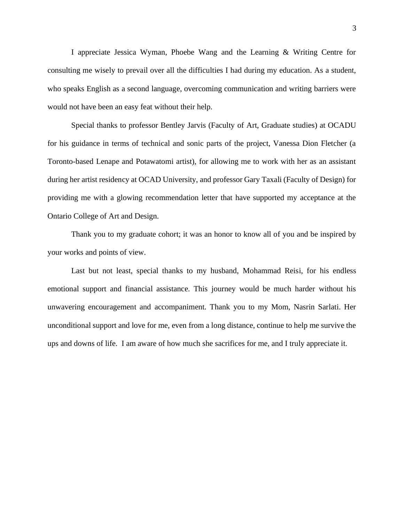I appreciate Jessica Wyman, Phoebe Wang and the Learning & Writing Centre for consulting me wisely to prevail over all the difficulties I had during my education. As a student, who speaks English as a second language, overcoming communication and writing barriers were would not have been an easy feat without their help.

Special thanks to professor Bentley Jarvis (Faculty of Art, Graduate studies) at OCADU for his guidance in terms of technical and sonic parts of the project, Vanessa Dion Fletcher (a Toronto-based Lenape and Potawatomi artist), for allowing me to work with her as an assistant during her artist residency at OCAD University, and professor Gary Taxali (Faculty of Design) for providing me with a glowing recommendation letter that have supported my acceptance at the Ontario College of Art and Design.

Thank you to my graduate cohort; it was an honor to know all of you and be inspired by your works and points of view.

Last but not least, special thanks to my husband, Mohammad Reisi, for his endless emotional support and financial assistance. This journey would be much harder without his unwavering encouragement and accompaniment. Thank you to my Mom, Nasrin Sarlati. Her unconditional support and love for me, even from a long distance, continue to help me survive the ups and downs of life. I am aware of how much she sacrifices for me, and I truly appreciate it.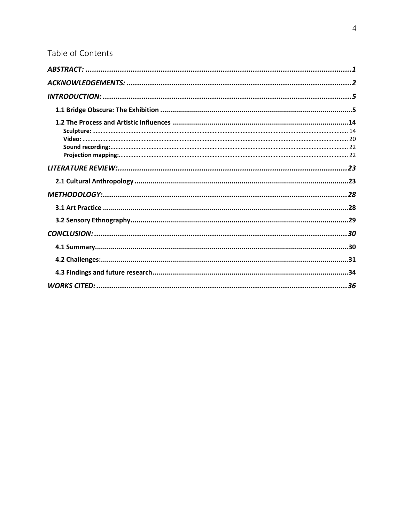# Table of Contents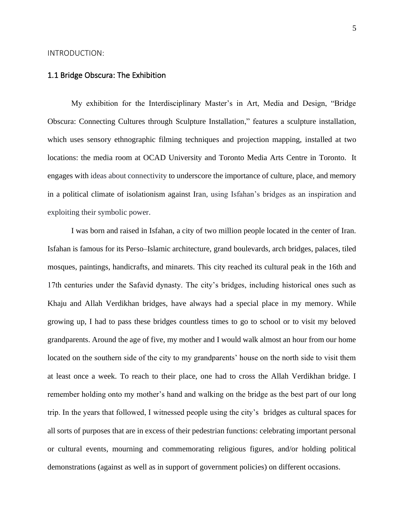#### <span id="page-5-0"></span>INTRODUCTION:

#### <span id="page-5-1"></span>1.1 Bridge Obscura: The Exhibition

My exhibition for the Interdisciplinary Master's in Art, Media and Design, "Bridge Obscura: Connecting Cultures through Sculpture Installation," features a sculpture installation, which uses sensory ethnographic filming techniques and projection mapping, installed at two locations: the media room at OCAD University and Toronto Media Arts Centre in Toronto. It engages with ideas about connectivity to underscore the importance of culture, place, and memory in a political climate of isolationism against Iran, using Isfahan's bridges as an inspiration and exploiting their symbolic power.

I was born and raised in Isfahan, a city of two million people located in the center of Iran. Isfahan is famous for its Perso–Islamic architecture, grand boulevards, arch bridges, palaces, tiled mosques, paintings, handicrafts, and minarets. This city reached its cultural peak in the 16th and 17th centuries under the Safavid dynasty. The city's bridges, including historical ones such as Khaju and Allah Verdikhan bridges, have always had a special place in my memory. While growing up, I had to pass these bridges countless times to go to school or to visit my beloved grandparents. Around the age of five, my mother and I would walk almost an hour from our home located on the southern side of the city to my grandparents' house on the north side to visit them at least once a week. To reach to their place, one had to cross the Allah Verdikhan bridge. I remember holding onto my mother's hand and walking on the bridge as the best part of our long trip. In the years that followed, I witnessed people using the city's bridges as cultural spaces for all sorts of purposes that are in excess of their pedestrian functions: celebrating important personal or cultural events, mourning and commemorating religious figures, and/or holding political demonstrations (against as well as in support of government policies) on different occasions.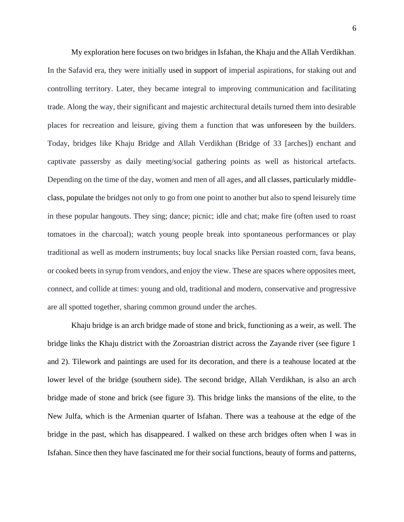My exploration here focuses on two bridges in Isfahan, the Khaju and the Allah Verdikhan. In the Safavid era, they were initially used in support of imperial aspirations, for staking out and controlling territory. Later, they became integral to improving communication and facilitating trade. Along the way, their significant and majestic architectural details turned them into desirable places for recreation and leisure, giving them a function that was unforeseen by the builders. Today, bridges like Khaju Bridge and Allah Verdikhan (Bridge of 33 [arches]) enchant and captivate passersby as daily meeting/social gathering points as well as historical artefacts. Depending on the time of the day, women and men of all ages, and all classes, particularly middleclass, populate the bridges not only to go from one point to another but also to spend leisurely time in these popular hangouts. They sing; dance; picnic; idle and chat; make fire (often used to roast tomatoes in the charcoal); watch young people break into spontaneous performances or play traditional as well as modern instruments; buy local snacks like Persian roasted corn, fava beans, or cooked beets in syrup from vendors, and enjoy the view. These are spaces where opposites meet, connect, and collide at times: young and old, traditional and modern, conservative and progressive are all spotted together, sharing common ground under the arches.

Khaju bridge is an arch bridge made of stone and brick, functioning as a weir, as well. The bridge links the Khaju district with the Zoroastrian district across the Zayande river (see figure 1 and 2). Tilework and paintings are used for its decoration, and there is a teahouse located at the lower level of the bridge (southern side). The second bridge, Allah Verdikhan, is also an arch bridge made of stone and brick (see figure 3). This bridge links the mansions of the elite, to the New Julfa, which is the Armenian quarter of Isfahan. There was a teahouse at the edge of the bridge in the past, which has disappeared. I walked on these arch bridges often when I was in Isfahan. Since then they have fascinated me for their social functions, beauty of forms and patterns,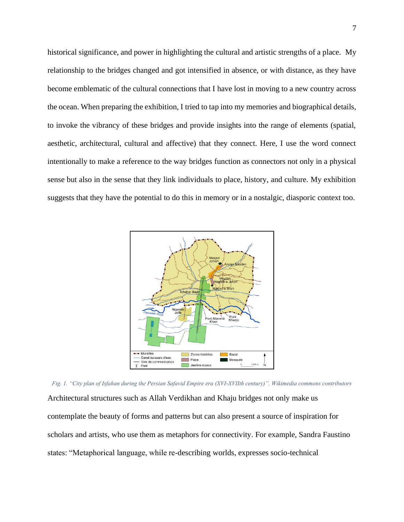historical significance, and power in highlighting the cultural and artistic strengths of a place. My relationship to the bridges changed and got intensified in absence, or with distance, as they have become emblematic of the cultural connections that I have lost in moving to a new country across the ocean. When preparing the exhibition, I tried to tap into my memories and biographical details, to invoke the vibrancy of these bridges and provide insights into the range of elements (spatial, aesthetic, architectural, cultural and affective) that they connect. Here, I use the word connect intentionally to make a reference to the way bridges function as connectors not only in a physical sense but also in the sense that they link individuals to place, history, and culture. My exhibition suggests that they have the potential to do this in memory or in a nostalgic, diasporic context too.



*Fig. 1. "City plan of Isfahan during the Persian Safavid Empire era (XVI-XVIIth century)". Wikimedia commons contributors* Architectural structures such as Allah Verdikhan and Khaju bridges not only make us contemplate the beauty of forms and patterns but can also present a source of inspiration for scholars and artists, who use them as metaphors for connectivity. For example, Sandra Faustino states: "Metaphorical language, while re-describing worlds, expresses socio-technical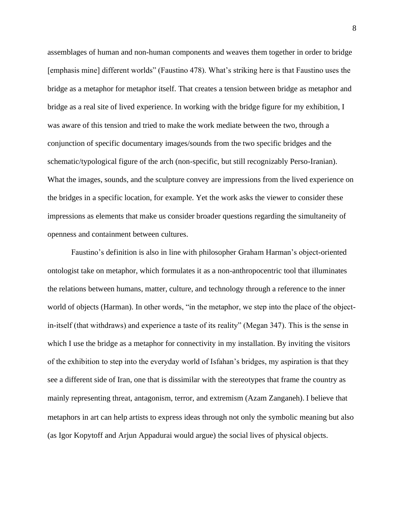assemblages of human and non-human components and weaves them together in order to bridge [emphasis mine] different worlds" (Faustino 478). What's striking here is that Faustino uses the bridge as a metaphor for metaphor itself. That creates a tension between bridge as metaphor and bridge as a real site of lived experience. In working with the bridge figure for my exhibition, I was aware of this tension and tried to make the work mediate between the two, through a conjunction of specific documentary images/sounds from the two specific bridges and the schematic/typological figure of the arch (non-specific, but still recognizably Perso-Iranian). What the images, sounds, and the sculpture convey are impressions from the lived experience on the bridges in a specific location, for example. Yet the work asks the viewer to consider these impressions as elements that make us consider broader questions regarding the simultaneity of openness and containment between cultures.

Faustino's definition is also in line with philosopher Graham Harman's object-oriented ontologist take on metaphor, which formulates it as a non-anthropocentric tool that illuminates the relations between humans, matter, culture, and technology through a reference to the inner world of objects (Harman). In other words, "in the metaphor, we step into the place of the objectin-itself (that withdraws) and experience a taste of its reality" (Megan 347). This is the sense in which I use the bridge as a metaphor for connectivity in my installation. By inviting the visitors of the exhibition to step into the everyday world of Isfahan's bridges, my aspiration is that they see a different side of Iran, one that is dissimilar with the stereotypes that frame the country as mainly representing threat, antagonism, terror, and extremism (Azam Zanganeh). I believe that metaphors in art can help artists to express ideas through not only the symbolic meaning but also (as Igor Kopytoff and Arjun Appadurai would argue) the social lives of physical objects.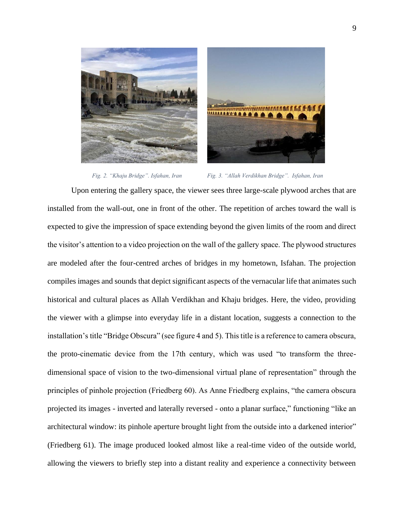

 *Fig. 2. "Khaju Bridge". Isfahan, Iran Fig. 3. "Allah Verdikhan Bridge". Isfahan, Iran* 

Upon entering the gallery space, the viewer sees three large-scale plywood arches that are installed from the wall-out, one in front of the other. The repetition of arches toward the wall is expected to give the impression of space extending beyond the given limits of the room and direct the visitor's attention to a video projection on the wall of the gallery space. The plywood structures are modeled after the four-centred arches of bridges in my hometown, Isfahan. The projection compiles images and sounds that depict significant aspects of the vernacular life that animates such historical and cultural places as Allah Verdikhan and Khaju bridges. Here, the video, providing the viewer with a glimpse into everyday life in a distant location, suggests a connection to the installation's title "Bridge Obscura" (see figure 4 and 5). This title is a reference to camera obscura, the proto-cinematic device from the 17th century, which was used "to transform the threedimensional space of vision to the two-dimensional virtual plane of representation" through the principles of pinhole projection (Friedberg 60). As Anne Friedberg explains, "the camera obscura projected its images - inverted and laterally reversed - onto a planar surface," functioning "like an architectural window: its pinhole aperture brought light from the outside into a darkened interior" (Friedberg 61). The image produced looked almost like a real-time video of the outside world, allowing the viewers to briefly step into a distant reality and experience a connectivity between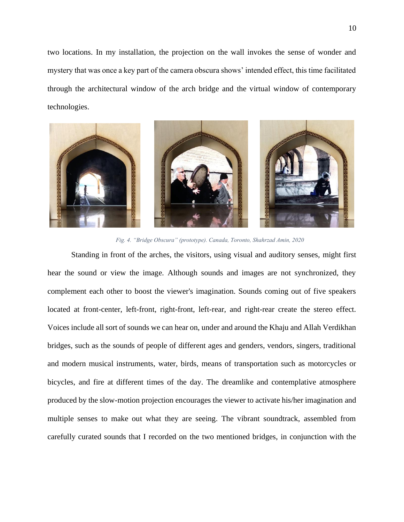two locations. In my installation, the projection on the wall invokes the sense of wonder and mystery that was once a key part of the camera obscura shows' intended effect, this time facilitated through the architectural window of the arch bridge and the virtual window of contemporary technologies.



 *Fig. 4. "Bridge Obscura" (prototype). Canada, Toronto, Shahrzad Amin, 2020*

Standing in front of the arches, the visitors, using visual and auditory senses, might first hear the sound or view the image. Although sounds and images are not synchronized, they complement each other to boost the viewer's imagination. Sounds coming out of five speakers located at front-center, left-front, right-front, left-rear, and right-rear create the stereo effect. Voices include all sort of sounds we can hear on, under and around the Khaju and Allah Verdikhan bridges, such as the sounds of people of different ages and genders, vendors, singers, traditional and modern musical instruments, water, birds, means of transportation such as motorcycles or bicycles, and fire at different times of the day. The dreamlike and contemplative atmosphere produced by the slow-motion projection encourages the viewer to activate his/her imagination and multiple senses to make out what they are seeing. The vibrant soundtrack, assembled from carefully curated sounds that I recorded on the two mentioned bridges, in conjunction with the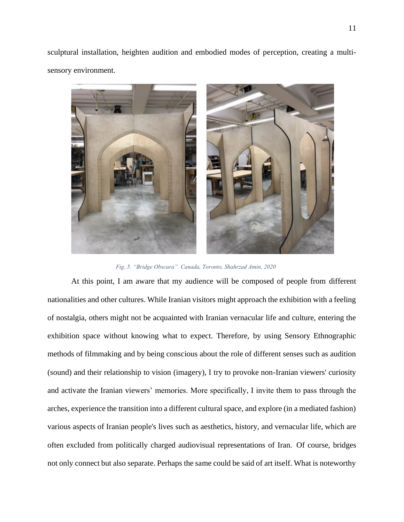sculptural installation, heighten audition and embodied modes of perception, creating a multisensory environment.



 *Fig. 5. "Bridge Obscura". Canada, Toronto, Shahrzad Amin, 2020*

At this point, I am aware that my audience will be composed of people from different nationalities and other cultures. While Iranian visitors might approach the exhibition with a feeling of nostalgia, others might not be acquainted with Iranian vernacular life and culture, entering the exhibition space without knowing what to expect. Therefore, by using Sensory Ethnographic methods of filmmaking and by being conscious about the role of different senses such as audition (sound) and their relationship to vision (imagery), I try to provoke non-Iranian viewers' curiosity and activate the Iranian viewers' memories. More specifically, I invite them to pass through the arches, experience the transition into a different cultural space, and explore (in a mediated fashion) various aspects of Iranian people's lives such as aesthetics, history, and vernacular life, which are often excluded from politically charged audiovisual representations of Iran. Of course, bridges not only connect but also separate. Perhaps the same could be said of art itself. What is noteworthy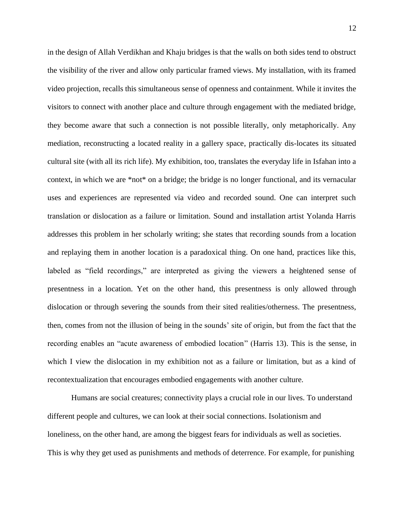in the design of Allah Verdikhan and Khaju bridges is that the walls on both sides tend to obstruct the visibility of the river and allow only particular framed views. My installation, with its framed video projection, recalls this simultaneous sense of openness and containment. While it invites the visitors to connect with another place and culture through engagement with the mediated bridge, they become aware that such a connection is not possible literally, only metaphorically. Any mediation, reconstructing a located reality in a gallery space, practically dis-locates its situated cultural site (with all its rich life). My exhibition, too, translates the everyday life in Isfahan into a context, in which we are \*not\* on a bridge; the bridge is no longer functional, and its vernacular uses and experiences are represented via video and recorded sound. One can interpret such translation or dislocation as a failure or limitation. Sound and installation artist Yolanda Harris addresses this problem in her scholarly writing; she states that recording sounds from a location and replaying them in another location is a paradoxical thing. On one hand, practices like this, labeled as "field recordings," are interpreted as giving the viewers a heightened sense of presentness in a location. Yet on the other hand, this presentness is only allowed through dislocation or through severing the sounds from their sited realities/otherness. The presentness, then, comes from not the illusion of being in the sounds' site of origin, but from the fact that the recording enables an "acute awareness of embodied location" (Harris 13). This is the sense, in which I view the dislocation in my exhibition not as a failure or limitation, but as a kind of recontextualization that encourages embodied engagements with another culture.

Humans are social creatures; connectivity plays a crucial role in our lives. To understand different people and cultures, we can look at their social connections. Isolationism and loneliness, on the other hand, are among the biggest fears for individuals as well as societies. This is why they get used as punishments and methods of deterrence. For example, for punishing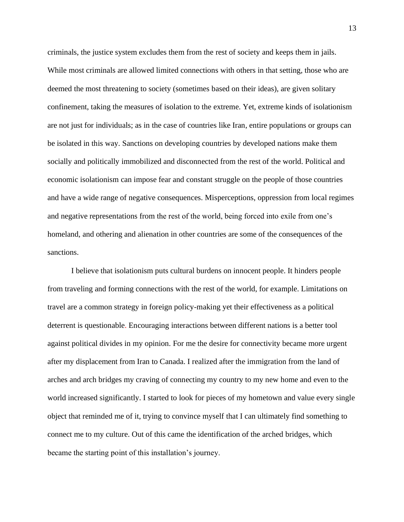criminals, the justice system excludes them from the rest of society and keeps them in jails. While most criminals are allowed limited connections with others in that setting, those who are deemed the most threatening to society (sometimes based on their ideas), are given solitary confinement, taking the measures of isolation to the extreme. Yet, extreme kinds of isolationism are not just for individuals; as in the case of countries like Iran, entire populations or groups can be isolated in this way. Sanctions on developing countries by developed nations make them socially and politically immobilized and disconnected from the rest of the world. Political and economic isolationism can impose fear and constant struggle on the people of those countries and have a wide range of negative consequences. Misperceptions, oppression from local regimes and negative representations from the rest of the world, being forced into exile from one's homeland, and othering and alienation in other countries are some of the consequences of the sanctions.

I believe that isolationism puts cultural burdens on innocent people. It hinders people from traveling and forming connections with the rest of the world, for example. Limitations on travel are a common strategy in foreign policy-making yet their effectiveness as a political deterrent is questionable. Encouraging interactions between different nations is a better tool against political divides in my opinion. For me the desire for connectivity became more urgent after my displacement from Iran to Canada. I realized after the immigration from the land of arches and arch bridges my craving of connecting my country to my new home and even to the world increased significantly. I started to look for pieces of my hometown and value every single object that reminded me of it, trying to convince myself that I can ultimately find something to connect me to my culture. Out of this came the identification of the arched bridges, which became the starting point of this installation's journey.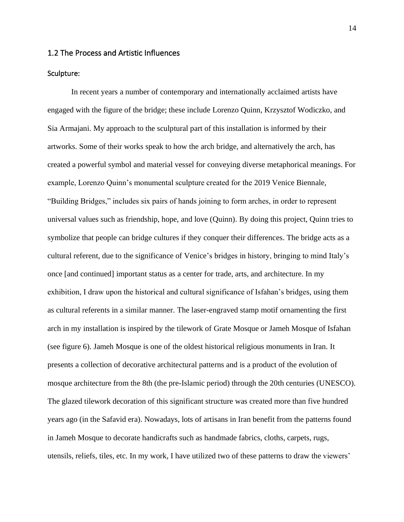#### <span id="page-14-0"></span>1.2 The Process and Artistic Influences

#### <span id="page-14-1"></span>Sculpture:

In recent years a number of contemporary and internationally acclaimed artists have engaged with the figure of the bridge; these include Lorenzo Quinn, Krzysztof Wodiczko, and Sia Armajani. My approach to the sculptural part of this installation is informed by their artworks. Some of their works speak to how the arch bridge, and alternatively the arch, has created a powerful symbol and material vessel for conveying diverse metaphorical meanings. For example, Lorenzo Quinn's monumental sculpture created for the 2019 Venice Biennale, "Building Bridges," includes six pairs of hands joining to form arches, in order to represent universal values such as friendship, hope, and love (Quinn). By doing this project, Quinn tries to symbolize that people can bridge cultures if they conquer their differences. The bridge acts as a cultural referent, due to the significance of Venice's bridges in history, bringing to mind Italy's once [and continued] important status as a center for trade, arts, and architecture. In my exhibition, I draw upon the historical and cultural significance of Isfahan's bridges, using them as cultural referents in a similar manner. The laser-engraved stamp motif ornamenting the first arch in my installation is inspired by the tilework of Grate Mosque or Jameh Mosque of Isfahan (see figure 6). Jameh Mosque is one of the oldest historical religious monuments in Iran. It presents a collection of decorative architectural patterns and is a product of the evolution of mosque architecture from the 8th (the pre-Islamic period) through the 20th centuries (UNESCO). The glazed tilework decoration of this significant structure was created more than five hundred years ago (in the Safavid era). Nowadays, lots of artisans in Iran benefit from the patterns found in Jameh Mosque to decorate handicrafts such as handmade fabrics, cloths, carpets, rugs, utensils, reliefs, tiles, etc. In my work, I have utilized two of these patterns to draw the viewers'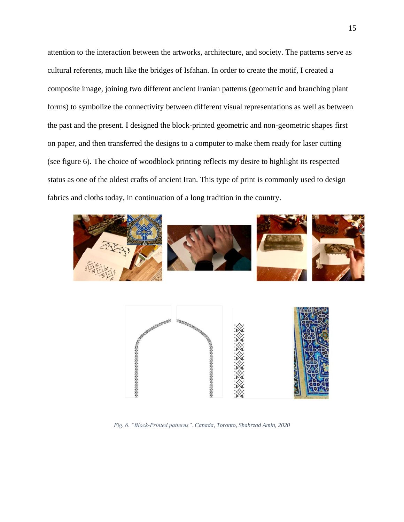attention to the interaction between the artworks, architecture, and society. The patterns serve as cultural referents, much like the bridges of Isfahan. In order to create the motif, I created a composite image, joining two different ancient Iranian patterns (geometric and branching plant forms) to symbolize the connectivity between different visual representations as well as between the past and the present. I designed the block-printed geometric and non-geometric shapes first on paper, and then transferred the designs to a computer to make them ready for laser cutting (see figure 6). The choice of woodblock printing reflects my desire to highlight its respected status as one of the oldest crafts of ancient Iran. This type of print is commonly used to design fabrics and cloths today, in continuation of a long tradition in the country.



*Fig. 6. "Block-Printed patterns". Canada, Toronto, Shahrzad Amin, 2020*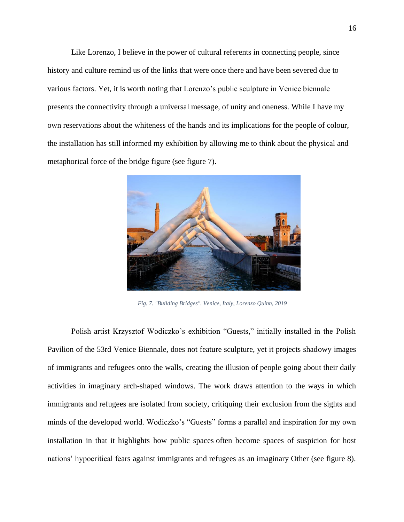Like Lorenzo, I believe in the power of cultural referents in connecting people, since history and culture remind us of the links that were once there and have been severed due to various factors. Yet, it is worth noting that Lorenzo's public sculpture in Venice biennale presents the connectivity through a universal message, of unity and oneness. While I have my own reservations about the whiteness of the hands and its implications for the people of colour, the installation has still informed my exhibition by allowing me to think about the physical and metaphorical force of the bridge figure (see figure 7).



 *Fig. 7. "Building Bridges". Venice, Italy, Lorenzo Quinn, 2019*

Polish artist Krzysztof Wodiczko's exhibition "Guests," initially installed in the Polish Pavilion of the 53rd Venice Biennale, does not feature sculpture, yet it projects shadowy images of immigrants and refugees onto the walls, creating the illusion of people going about their daily activities in imaginary arch-shaped windows. The work draws attention to the ways in which immigrants and refugees are isolated from society, critiquing their exclusion from the sights and minds of the developed world. Wodiczko's "Guests" forms a parallel and inspiration for my own installation in that it highlights how public spaces often become spaces of suspicion for host nations' hypocritical fears against immigrants and refugees as an imaginary Other (see figure 8).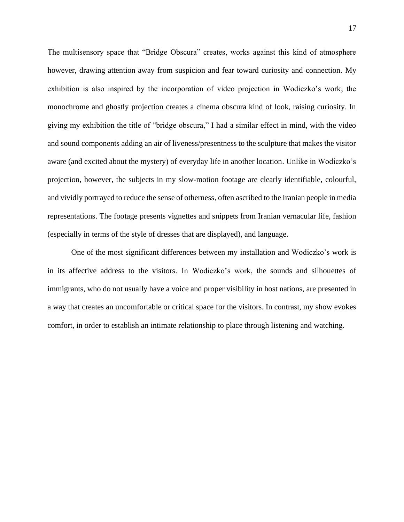The multisensory space that "Bridge Obscura" creates, works against this kind of atmosphere however, drawing attention away from suspicion and fear toward curiosity and connection. My exhibition is also inspired by the incorporation of video projection in Wodiczko's work; the monochrome and ghostly projection creates a cinema obscura kind of look, raising curiosity. In giving my exhibition the title of "bridge obscura," I had a similar effect in mind, with the video and sound components adding an air of liveness/presentness to the sculpture that makes the visitor aware (and excited about the mystery) of everyday life in another location. Unlike in Wodiczko's projection, however, the subjects in my slow-motion footage are clearly identifiable, colourful, and vividly portrayed to reduce the sense of otherness, often ascribed to the Iranian people in media representations. The footage presents vignettes and snippets from Iranian vernacular life, fashion (especially in terms of the style of dresses that are displayed), and language.

One of the most significant differences between my installation and Wodiczko's work is in its affective address to the visitors. In Wodiczko's work, the sounds and silhouettes of immigrants, who do not usually have a voice and proper visibility in host nations, are presented in a way that creates an uncomfortable or critical space for the visitors. In contrast, my show evokes comfort, in order to establish an intimate relationship to place through listening and watching.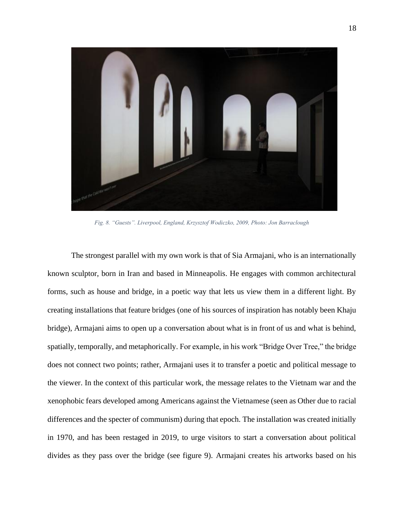

*Fig. 8. "Guests". Liverpool, England, Krzysztof Wodiczko, 2009, Photo: Jon Barraclough*

The strongest parallel with my own work is that of Sia Armajani, who is an internationally known sculptor, born in Iran and based in Minneapolis. He engages with common architectural forms, such as house and bridge, in a poetic way that lets us view them in a different light. By creating installations that feature bridges (one of his sources of inspiration has notably been Khaju bridge), Armajani aims to open up a conversation about what is in front of us and what is behind, spatially, temporally, and metaphorically. For example, in his work "Bridge Over Tree," the bridge does not connect two points; rather, Armajani uses it to transfer a poetic and political message to the viewer. In the context of this particular work, the message relates to the Vietnam war and the xenophobic fears developed among Americans against the Vietnamese (seen as Other due to racial differences and the specter of communism) during that epoch. The installation was created initially in 1970, and has been restaged in 2019, to urge visitors to start a conversation about political divides as they pass over the bridge (see figure 9). Armajani creates his artworks based on his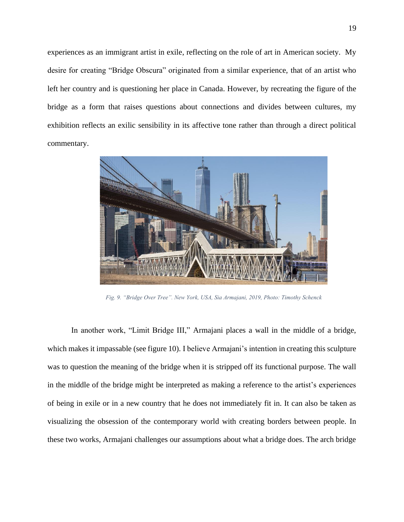experiences as an immigrant artist in exile, reflecting on the role of art in American society. My desire for creating "Bridge Obscura" originated from a similar experience, that of an artist who left her country and is questioning her place in Canada. However, by recreating the figure of the bridge as a form that raises questions about connections and divides between cultures, my exhibition reflects an exilic sensibility in its affective tone rather than through a direct political commentary.



*Fig. 9. "Bridge Over Tree". New York, USA, Sia Armajani, 2019, Photo: Timothy Schenck*

In another work, "Limit Bridge III," Armajani places a wall in the middle of a bridge, which makes it impassable (see figure 10). I believe Armajani's intention in creating this sculpture was to question the meaning of the bridge when it is stripped off its functional purpose. The wall in the middle of the bridge might be interpreted as making a reference to the artist's experiences of being in exile or in a new country that he does not immediately fit in. It can also be taken as visualizing the obsession of the contemporary world with creating borders between people. In these two works, Armajani challenges our assumptions about what a bridge does. The arch bridge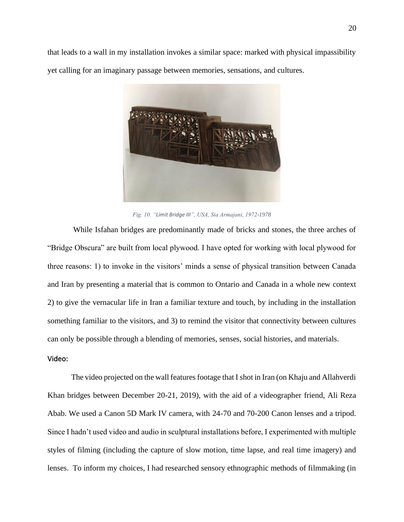that leads to a wall in my installation invokes a similar space: marked with physical impassibility yet calling for an imaginary passage between memories, sensations, and cultures.



*Fig. 10. "Limit Bridge III", USA, Sia Armajani, 1972-1978*

While Isfahan bridges are predominantly made of bricks and stones, the three arches of "Bridge Obscura" are built from local plywood. I have opted for working with local plywood for three reasons: 1) to invoke in the visitors' minds a sense of physical transition between Canada and Iran by presenting a material that is common to Ontario and Canada in a whole new context 2) to give the vernacular life in Iran a familiar texture and touch, by including in the installation something familiar to the visitors, and 3) to remind the visitor that connectivity between cultures can only be possible through a blending of memories, senses, social histories, and materials.

#### <span id="page-20-0"></span>Video:

The video projected on the wall features footage that I shot in Iran (on Khaju and Allahverdi Khan bridges between December 20-21, 2019), with the aid of a videographer friend, Ali Reza Abab. We used a Canon 5D Mark IV camera, with 24-70 and 70-200 Canon lenses and a tripod. Since I hadn't used video and audio in sculptural installations before, I experimented with multiple styles of filming (including the capture of slow motion, time lapse, and real time imagery) and lenses. To inform my choices, I had researched sensory ethnographic methods of filmmaking (in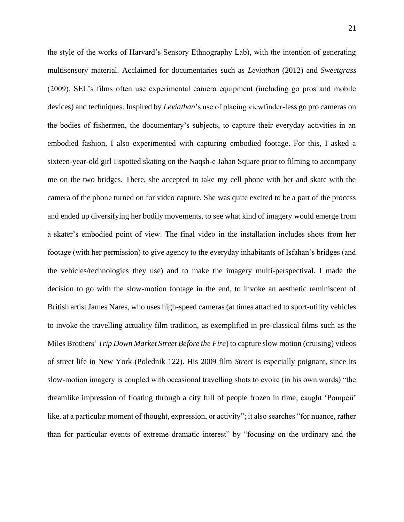the style of the works of Harvard's Sensory Ethnography Lab), with the intention of generating multisensory material. Acclaimed for documentaries such as *Leviathan* (2012) and *Sweetgrass* (2009), SEL's films often use experimental camera equipment (including go pros and mobile devices) and techniques. Inspired by *Leviathan*'s use of placing viewfinder-less go pro cameras on the bodies of fishermen, the documentary's subjects, to capture their everyday activities in an embodied fashion, I also experimented with capturing embodied footage. For this, I asked a sixteen-year-old girl I spotted skating on the Naqsh-e Jahan Square prior to filming to accompany me on the two bridges. There, she accepted to take my cell phone with her and skate with the camera of the phone turned on for video capture. She was quite excited to be a part of the process and ended up diversifying her bodily movements, to see what kind of imagery would emerge from a skater's embodied point of view. The final video in the installation includes shots from her footage (with her permission) to give agency to the everyday inhabitants of Isfahan's bridges (and the vehicles/technologies they use) and to make the imagery multi-perspectival. I made the decision to go with the slow-motion footage in the end, to invoke an aesthetic reminiscent of British artist James Nares, who uses high-speed cameras (at times attached to sport-utility vehicles to invoke the travelling actuality film tradition, as exemplified in pre-classical films such as the Miles Brothers' *Trip Down Market Street Before the Fire*) to capture slow motion (cruising) videos of street life in New York (Polednik 122). His 2009 film *Street* is especially poignant, since its slow-motion imagery is coupled with occasional travelling shots to evoke (in his own words) "the dreamlike impression of floating through a city full of people frozen in time, caught 'Pompeii' like, at a particular moment of thought, expression, or activity"; it also searches "for nuance, rather than for particular events of extreme dramatic interest" by "focusing on the ordinary and the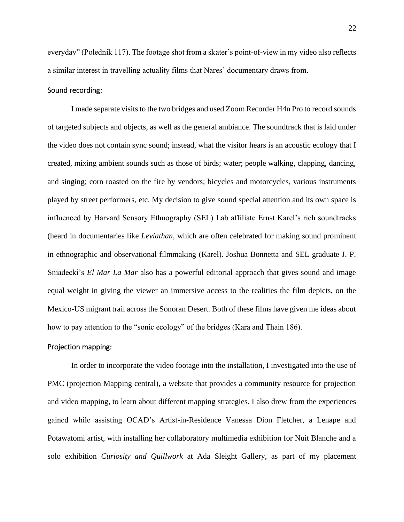everyday" (Polednik 117). The footage shot from a skater's point-of-view in my video also reflects a similar interest in travelling actuality films that Nares' documentary draws from.

#### <span id="page-22-0"></span>Sound recording:

I made separate visits to the two bridges and used Zoom Recorder H4n Pro to record sounds of targeted subjects and objects, as well as the general ambiance. The soundtrack that is laid under the video does not contain sync sound; instead, what the visitor hears is an acoustic ecology that I created, mixing ambient sounds such as those of birds; water; people walking, clapping, dancing, and singing; corn roasted on the fire by vendors; bicycles and motorcycles, various instruments played by street performers, etc. My decision to give sound special attention and its own space is influenced by Harvard Sensory Ethnography (SEL) Lab affiliate Ernst Karel's rich soundtracks (heard in documentaries like *Leviathan*, which are often celebrated for making sound prominent in ethnographic and observational filmmaking (Karel). Joshua Bonnetta and SEL graduate J. P. Sniadecki's *El Mar La Mar* also has a powerful editorial approach that gives sound and image equal weight in giving the viewer an immersive access to the realities the film depicts, on the Mexico-US migrant trail across the Sonoran Desert. Both of these films have given me ideas about how to pay attention to the "sonic ecology" of the bridges (Kara and Thain 186).

#### <span id="page-22-1"></span>Projection mapping:

In order to incorporate the video footage into the installation, I investigated into the use of PMC (projection Mapping central), a website that provides a community resource for projection and video mapping, to learn about different mapping strategies. I also drew from the experiences gained while assisting OCAD's Artist-in-Residence Vanessa Dion Fletcher, a Lenape and Potawatomi artist, with installing her collaboratory multimedia exhibition for Nuit Blanche and a solo exhibition *Curiosity and Quillwork* at Ada Sleight Gallery, as part of my placement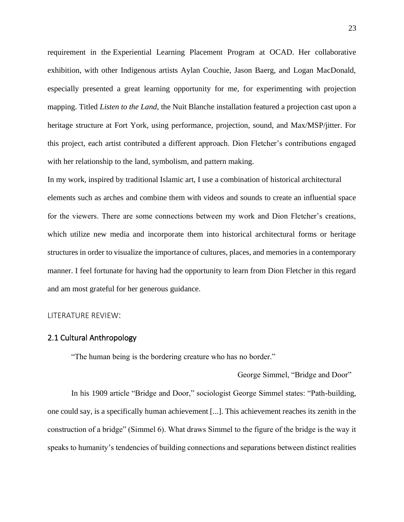requirement in the Experiential Learning Placement Program at OCAD. Her collaborative exhibition, with other Indigenous artists Aylan Couchie, Jason Baerg, and Logan MacDonald, especially presented a great learning opportunity for me, for experimenting with projection mapping. Titled *Listen to the Land*, the Nuit Blanche installation featured a projection cast upon a heritage structure at Fort York, using performance, projection, sound, and Max/MSP/jitter. For this project, each artist contributed a different approach. Dion Fletcher's contributions engaged with her relationship to the land, symbolism, and pattern making.

In my work, inspired by traditional Islamic art, I use a combination of historical architectural elements such as arches and combine them with videos and sounds to create an influential space for the viewers. There are some connections between my work and Dion Fletcher's creations, which utilize new media and incorporate them into historical architectural forms or heritage structures in order to visualize the importance of cultures, places, and memories in a contemporary manner. I feel fortunate for having had the opportunity to learn from Dion Fletcher in this regard and am most grateful for her generous guidance.

#### <span id="page-23-0"></span>LITERATURE REVIEW:

#### <span id="page-23-1"></span>2.1 Cultural Anthropology

"The human being is the bordering creature who has no border."

#### George Simmel, "Bridge and Door"

In his 1909 article "Bridge and Door," sociologist George Simmel states: "Path-building, one could say, is a specifically human achievement [...]. This achievement reaches its zenith in the construction of a bridge" (Simmel 6). What draws Simmel to the figure of the bridge is the way it speaks to humanity's tendencies of building connections and separations between distinct realities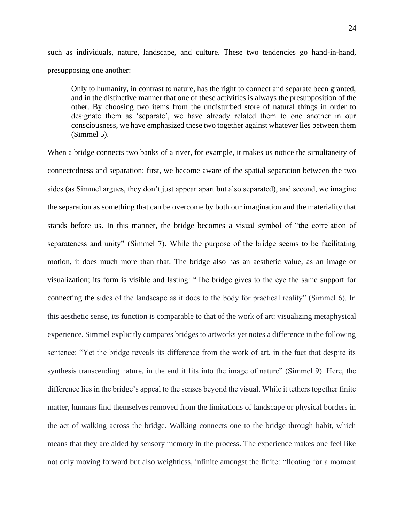such as individuals, nature, landscape, and culture. These two tendencies go hand-in-hand, presupposing one another:

Only to humanity, in contrast to nature, has the right to connect and separate been granted, and in the distinctive manner that one of these activities is always the presupposition of the other. By choosing two items from the undisturbed store of natural things in order to designate them as 'separate', we have already related them to one another in our consciousness, we have emphasized these two together against whatever lies between them (Simmel 5).

When a bridge connects two banks of a river, for example, it makes us notice the simultaneity of connectedness and separation: first, we become aware of the spatial separation between the two sides (as Simmel argues, they don't just appear apart but also separated), and second, we imagine the separation as something that can be overcome by both our imagination and the materiality that stands before us. In this manner, the bridge becomes a visual symbol of "the correlation of separateness and unity" (Simmel 7). While the purpose of the bridge seems to be facilitating motion, it does much more than that. The bridge also has an aesthetic value, as an image or visualization; its form is visible and lasting: "The bridge gives to the eye the same support for connecting the sides of the landscape as it does to the body for practical reality" (Simmel 6). In this aesthetic sense, its function is comparable to that of the work of art: visualizing metaphysical experience. Simmel explicitly compares bridges to artworks yet notes a difference in the following sentence: "Yet the bridge reveals its difference from the work of art, in the fact that despite its synthesis transcending nature, in the end it fits into the image of nature" (Simmel 9). Here, the difference lies in the bridge's appeal to the senses beyond the visual. While it tethers together finite matter, humans find themselves removed from the limitations of landscape or physical borders in the act of walking across the bridge. Walking connects one to the bridge through habit, which means that they are aided by sensory memory in the process. The experience makes one feel like not only moving forward but also weightless, infinite amongst the finite: "floating for a moment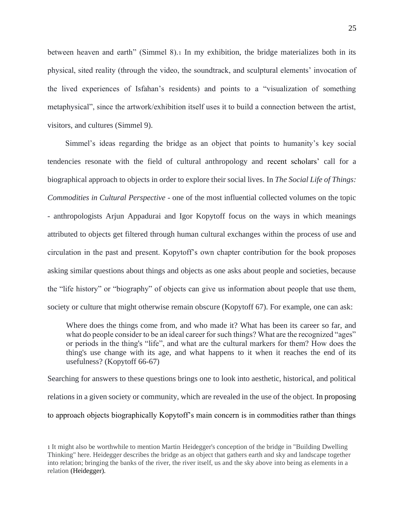between heaven and earth" (Simmel 8).<sup>1</sup> In my exhibition, the bridge materializes both in its physical, sited reality (through the video, the soundtrack, and sculptural elements' invocation of the lived experiences of Isfahan's residents) and points to a "visualization of something metaphysical", since the artwork/exhibition itself uses it to build a connection between the artist, visitors, and cultures (Simmel 9).

 Simmel's ideas regarding the bridge as an object that points to humanity's key social tendencies resonate with the field of cultural anthropology and recent scholars' call for a biographical approach to objects in order to explore their social lives. In *The Social Life of Things: Commodities in Cultural Perspective* - one of the most influential collected volumes on the topic - anthropologists Arjun Appadurai and Igor Kopytoff focus on the ways in which meanings attributed to objects get filtered through human cultural exchanges within the process of use and circulation in the past and present. Kopytoff's own chapter contribution for the book proposes asking similar questions about things and objects as one asks about people and societies, because the "life history" or "biography" of objects can give us information about people that use them, society or culture that might otherwise remain obscure (Kopytoff 67). For example, one can ask:

Where does the things come from, and who made it? What has been its career so far, and what do people consider to be an ideal career for such things? What are the recognized "ages" or periods in the thing's "life", and what are the cultural markers for them? How does the thing's use change with its age, and what happens to it when it reaches the end of its usefulness? (Kopytoff 66-67)

Searching for answers to these questions brings one to look into aesthetic, historical, and political relations in a given society or community, which are revealed in the use of the object. In proposing to approach objects biographically Kopytoff's main concern is in commodities rather than things

<sup>1</sup> It might also be worthwhile to mention Martin Heidegger's conception of the bridge in "Building Dwelling Thinking" here. Heidegger describes the bridge as an object that gathers earth and sky and landscape together into relation; bringing the banks of the river, the river itself, us and the sky above into being as elements in a relation (Heidegger).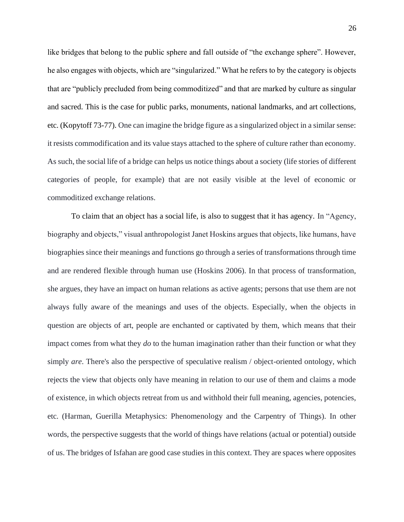like bridges that belong to the public sphere and fall outside of "the exchange sphere". However, he also engages with objects, which are "singularized." What he refers to by the category is objects that are "publicly precluded from being commoditized" and that are marked by culture as singular and sacred. This is the case for public parks, monuments, national landmarks, and art collections, etc. (Kopytoff 73-77). One can imagine the bridge figure as a singularized object in a similar sense: it resists commodification and its value stays attached to the sphere of culture rather than economy. As such, the social life of a bridge can helps us notice things about a society (life stories of different categories of people, for example) that are not easily visible at the level of economic or commoditized exchange relations.

To claim that an object has a social life, is also to suggest that it has agency. In "Agency, biography and objects," visual anthropologist Janet Hoskins argues that objects, like humans, have biographies since their meanings and functions go through a series of transformations through time and are rendered flexible through human use (Hoskins 2006). In that process of transformation, she argues, they have an impact on human relations as active agents; persons that use them are not always fully aware of the meanings and uses of the objects. Especially, when the objects in question are objects of art, people are enchanted or captivated by them, which means that their impact comes from what they *do* to the human imagination rather than their function or what they simply *are*. There's also the perspective of speculative realism / object-oriented ontology, which rejects the view that objects only have meaning in relation to our use of them and claims a mode of existence, in which objects retreat from us and withhold their full meaning, agencies, potencies, etc. (Harman, Guerilla Metaphysics: Phenomenology and the Carpentry of Things). In other words, the perspective suggests that the world of things have relations (actual or potential) outside of us. The bridges of Isfahan are good case studies in this context. They are spaces where opposites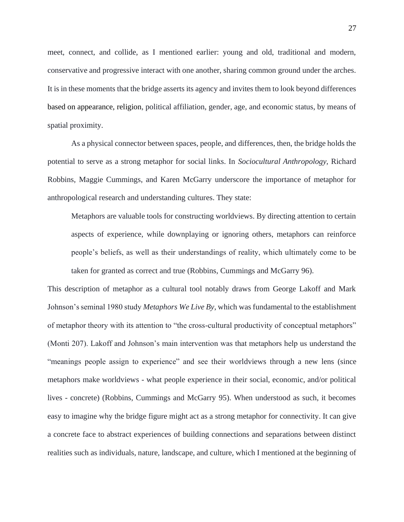meet, connect, and collide, as I mentioned earlier: young and old, traditional and modern, conservative and progressive interact with one another, sharing common ground under the arches. It is in these moments that the bridge asserts its agency and invites them to look beyond differences based on appearance, religion, political affiliation, gender, age, and economic status, by means of spatial proximity.

As a physical connector between spaces, people, and differences, then, the bridge holds the potential to serve as a strong metaphor for social links. In *Sociocultural Anthropology,* Richard Robbins, Maggie Cummings, and Karen McGarry underscore the importance of metaphor for anthropological research and understanding cultures. They state:

Metaphors are valuable tools for constructing worldviews. By directing attention to certain aspects of experience, while downplaying or ignoring others, metaphors can reinforce people's beliefs, as well as their understandings of reality, which ultimately come to be taken for granted as correct and true (Robbins, Cummings and McGarry 96).

This description of metaphor as a cultural tool notably draws from George Lakoff and Mark Johnson's seminal 1980 study *Metaphors We Live By*, which was fundamental to the establishment of metaphor theory with its attention to "the cross-cultural productivity of conceptual metaphors" (Monti 207). Lakoff and Johnson's main intervention was that metaphors help us understand the "meanings people assign to experience" and see their worldviews through a new lens (since metaphors make worldviews - what people experience in their social, economic, and/or political lives - concrete) (Robbins, Cummings and McGarry 95). When understood as such, it becomes easy to imagine why the bridge figure might act as a strong metaphor for connectivity. It can give a concrete face to abstract experiences of building connections and separations between distinct realities such as individuals, nature, landscape, and culture, which I mentioned at the beginning of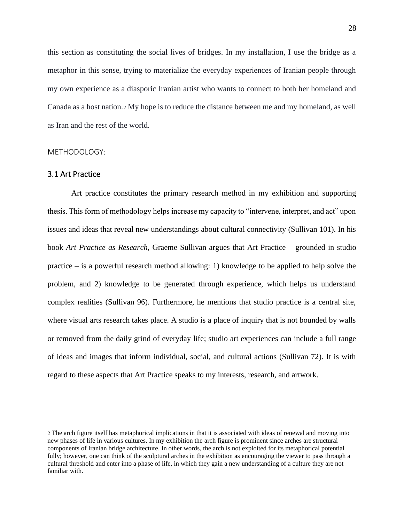this section as constituting the social lives of bridges. In my installation, I use the bridge as a metaphor in this sense, trying to materialize the everyday experiences of Iranian people through my own experience as a diasporic Iranian artist who wants to connect to both her homeland and Canada as a host nation.<sup>2</sup> My hope is to reduce the distance between me and my homeland, as well as Iran and the rest of the world.

#### <span id="page-28-0"></span>METHODOLOGY:

#### <span id="page-28-1"></span>3.1 Art Practice

Art practice constitutes the primary research method in my exhibition and supporting thesis. This form of methodology helps increase my capacity to "intervene, interpret, and act" upon issues and ideas that reveal new understandings about cultural connectivity (Sullivan 101). In his book *Art Practice as Research*, Graeme Sullivan argues that Art Practice – grounded in studio practice – is a powerful research method allowing: 1) knowledge to be applied to help solve the problem, and 2) knowledge to be generated through experience, which helps us understand complex realities (Sullivan 96). Furthermore, he mentions that studio practice is a central site, where visual arts research takes place. A studio is a place of inquiry that is not bounded by walls or removed from the daily grind of everyday life; studio art experiences can include a full range of ideas and images that inform individual, social, and cultural actions (Sullivan 72). It is with regard to these aspects that Art Practice speaks to my interests, research, and artwork.

<sup>2</sup> The arch figure itself has metaphorical implications in that it is associated with ideas of renewal and moving into new phases of life in various cultures. In my exhibition the arch figure is prominent since arches are structural components of Iranian bridge architecture. In other words, the arch is not exploited for its metaphorical potential fully; however, one can think of the sculptural arches in the exhibition as encouraging the viewer to pass through a cultural threshold and enter into a phase of life, in which they gain a new understanding of a culture they are not familiar with.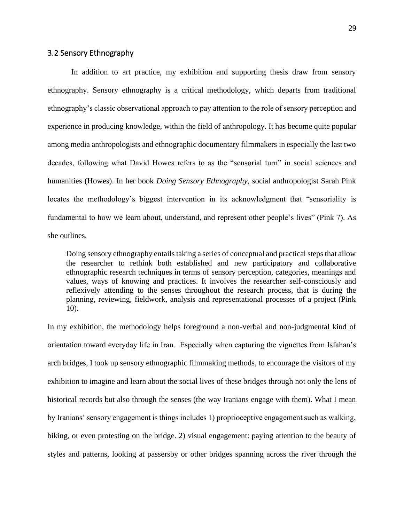#### <span id="page-29-0"></span>3.2 Sensory Ethnography

In addition to art practice, my exhibition and supporting thesis draw from sensory ethnography. Sensory ethnography is a critical methodology, which departs from traditional ethnography's classic observational approach to pay attention to the role of sensory perception and experience in producing knowledge, within the field of anthropology. It has become quite popular among media anthropologists and ethnographic documentary filmmakers in especially the last two decades, following what David Howes refers to as the "sensorial turn" in social sciences and humanities (Howes). In her book *Doing Sensory Ethnography,* social anthropologist Sarah Pink locates the methodology's biggest intervention in its acknowledgment that "sensoriality is fundamental to how we learn about, understand, and represent other people's lives" (Pink 7). As she outlines,

Doing sensory ethnography entails taking a series of conceptual and practical steps that allow the researcher to rethink both established and new participatory and collaborative ethnographic research techniques in terms of sensory perception, categories, meanings and values, ways of knowing and practices. It involves the researcher self-consciously and reflexively attending to the senses throughout the research process, that is during the planning, reviewing, fieldwork, analysis and representational processes of a project (Pink 10).

In my exhibition, the methodology helps foreground a non-verbal and non-judgmental kind of orientation toward everyday life in Iran. Especially when capturing the vignettes from Isfahan's arch bridges, I took up sensory ethnographic filmmaking methods, to encourage the visitors of my exhibition to imagine and learn about the social lives of these bridges through not only the lens of historical records but also through the senses (the way Iranians engage with them). What I mean by Iranians' sensory engagement is things includes 1) proprioceptive engagement such as walking, biking, or even protesting on the bridge. 2) visual engagement: paying attention to the beauty of styles and patterns, looking at passersby or other bridges spanning across the river through the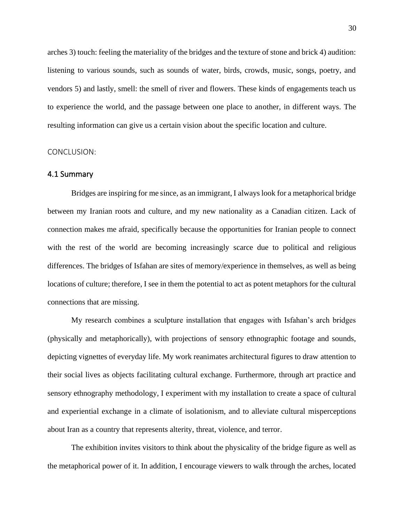arches 3) touch: feeling the materiality of the bridges and the texture of stone and brick 4) audition: listening to various sounds, such as sounds of water, birds, crowds, music, songs, poetry, and vendors 5) and lastly, smell: the smell of river and flowers. These kinds of engagements teach us to experience the world, and the passage between one place to another, in different ways. The resulting information can give us a certain vision about the specific location and culture.

#### <span id="page-30-0"></span>CONCLUSION:

#### <span id="page-30-1"></span>4.1 Summary

Bridges are inspiring for me since, as an immigrant, I always look for a metaphorical bridge between my Iranian roots and culture, and my new nationality as a Canadian citizen. Lack of connection makes me afraid, specifically because the opportunities for Iranian people to connect with the rest of the world are becoming increasingly scarce due to political and religious differences. The bridges of Isfahan are sites of memory/experience in themselves, as well as being locations of culture; therefore, I see in them the potential to act as potent metaphors for the cultural connections that are missing.

My research combines a sculpture installation that engages with Isfahan's arch bridges (physically and metaphorically), with projections of sensory ethnographic footage and sounds, depicting vignettes of everyday life. My work reanimates architectural figures to draw attention to their social lives as objects facilitating cultural exchange. Furthermore, through art practice and sensory ethnography methodology, I experiment with my installation to create a space of cultural and experiential exchange in a climate of isolationism, and to alleviate cultural misperceptions about Iran as a country that represents alterity, threat, violence, and terror.

The exhibition invites visitors to think about the physicality of the bridge figure as well as the metaphorical power of it. In addition, I encourage viewers to walk through the arches, located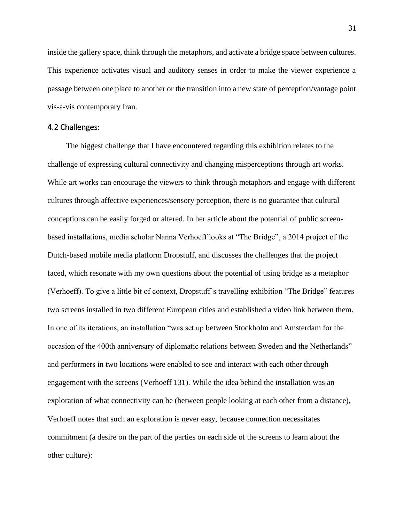inside the gallery space, think through the metaphors, and activate a bridge space between cultures. This experience activates visual and auditory senses in order to make the viewer experience a passage between one place to another or the transition into a new state of perception/vantage point vis-a-vis contemporary Iran.

#### <span id="page-31-0"></span>4.2 Challenges:

The biggest challenge that I have encountered regarding this exhibition relates to the challenge of expressing cultural connectivity and changing misperceptions through art works. While art works can encourage the viewers to think through metaphors and engage with different cultures through affective experiences/sensory perception, there is no guarantee that cultural conceptions can be easily forged or altered. In her article about the potential of public screenbased installations, media scholar Nanna Verhoeff looks at "The Bridge", a 2014 project of the Dutch-based mobile media platform Dropstuff, and discusses the challenges that the project faced, which resonate with my own questions about the potential of using bridge as a metaphor (Verhoeff). To give a little bit of context, Dropstuff's travelling exhibition "The Bridge" features two screens installed in two different European cities and established a video link between them. In one of its iterations, an installation "was set up between Stockholm and Amsterdam for the occasion of the 400th anniversary of diplomatic relations between Sweden and the Netherlands" and performers in two locations were enabled to see and interact with each other through engagement with the screens (Verhoeff 131). While the idea behind the installation was an exploration of what connectivity can be (between people looking at each other from a distance), Verhoeff notes that such an exploration is never easy, because connection necessitates commitment (a desire on the part of the parties on each side of the screens to learn about the other culture):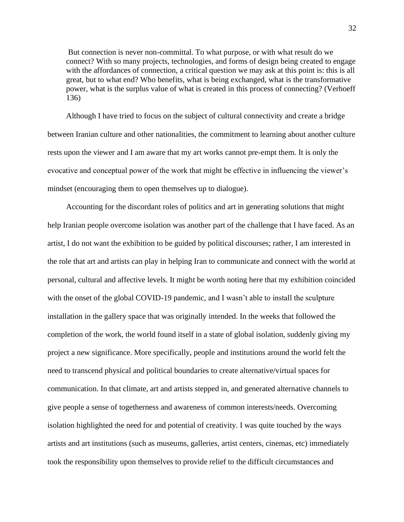But connection is never non-committal. To what purpose, or with what result do we connect? With so many projects, technologies, and forms of design being created to engage with the affordances of connection, a critical question we may ask at this point is: this is all great, but to what end? Who benefits, what is being exchanged, what is the transformative power, what is the surplus value of what is created in this process of connecting? (Verhoeff 136)

Although I have tried to focus on the subject of cultural connectivity and create a bridge between Iranian culture and other nationalities, the commitment to learning about another culture rests upon the viewer and I am aware that my art works cannot pre-empt them. It is only the evocative and conceptual power of the work that might be effective in influencing the viewer's mindset (encouraging them to open themselves up to dialogue).

Accounting for the discordant roles of politics and art in generating solutions that might help Iranian people overcome isolation was another part of the challenge that I have faced. As an artist, I do not want the exhibition to be guided by political discourses; rather, I am interested in the role that art and artists can play in helping Iran to communicate and connect with the world at personal, cultural and affective levels. It might be worth noting here that my exhibition coincided with the onset of the global COVID-19 pandemic, and I wasn't able to install the sculpture installation in the gallery space that was originally intended. In the weeks that followed the completion of the work, the world found itself in a state of global isolation, suddenly giving my project a new significance. More specifically, people and institutions around the world felt the need to transcend physical and political boundaries to create alternative/virtual spaces for communication. In that climate, art and artists stepped in, and generated alternative channels to give people a sense of togetherness and awareness of common interests/needs. Overcoming isolation highlighted the need for and potential of creativity. I was quite touched by the ways artists and art institutions (such as museums, galleries, artist centers, cinemas, etc) immediately took the responsibility upon themselves to provide relief to the difficult circumstances and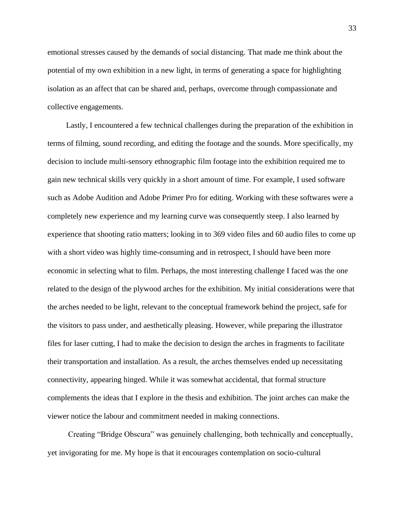emotional stresses caused by the demands of social distancing. That made me think about the potential of my own exhibition in a new light, in terms of generating a space for highlighting isolation as an affect that can be shared and, perhaps, overcome through compassionate and collective engagements.

Lastly, I encountered a few technical challenges during the preparation of the exhibition in terms of filming, sound recording, and editing the footage and the sounds. More specifically, my decision to include multi-sensory ethnographic film footage into the exhibition required me to gain new technical skills very quickly in a short amount of time. For example, I used software such as Adobe Audition and Adobe Primer Pro for editing. Working with these softwares were a completely new experience and my learning curve was consequently steep. I also learned by experience that shooting ratio matters; looking in to 369 video files and 60 audio files to come up with a short video was highly time-consuming and in retrospect, I should have been more economic in selecting what to film. Perhaps, the most interesting challenge I faced was the one related to the design of the plywood arches for the exhibition. My initial considerations were that the arches needed to be light, relevant to the conceptual framework behind the project, safe for the visitors to pass under, and aesthetically pleasing. However, while preparing the illustrator files for laser cutting, I had to make the decision to design the arches in fragments to facilitate their transportation and installation. As a result, the arches themselves ended up necessitating connectivity, appearing hinged. While it was somewhat accidental, that formal structure complements the ideas that I explore in the thesis and exhibition. The joint arches can make the viewer notice the labour and commitment needed in making connections.

Creating "Bridge Obscura" was genuinely challenging, both technically and conceptually, yet invigorating for me. My hope is that it encourages contemplation on socio-cultural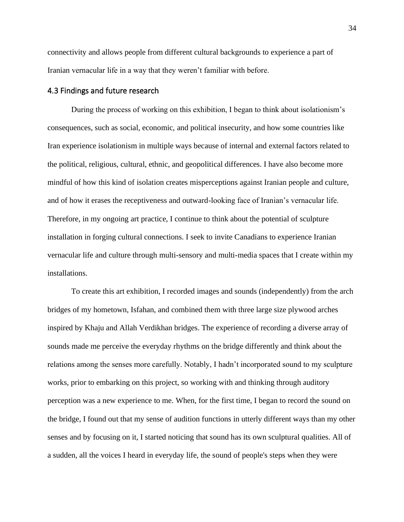connectivity and allows people from different cultural backgrounds to experience a part of Iranian vernacular life in a way that they weren't familiar with before.

#### <span id="page-34-0"></span>4.3 Findings and future research

During the process of working on this exhibition, I began to think about isolationism's consequences, such as social, economic, and political insecurity, and how some countries like Iran experience isolationism in multiple ways because of internal and external factors related to the political, religious, cultural, ethnic, and geopolitical differences. I have also become more mindful of how this kind of isolation creates misperceptions against Iranian people and culture, and of how it erases the receptiveness and outward-looking face of Iranian's vernacular life. Therefore, in my ongoing art practice, I continue to think about the potential of sculpture installation in forging cultural connections. I seek to invite Canadians to experience Iranian vernacular life and culture through multi-sensory and multi-media spaces that I create within my installations.

To create this art exhibition, I recorded images and sounds (independently) from the arch bridges of my hometown, Isfahan, and combined them with three large size plywood arches inspired by Khaju and Allah Verdikhan bridges. The experience of recording a diverse array of sounds made me perceive the everyday rhythms on the bridge differently and think about the relations among the senses more carefully. Notably, I hadn't incorporated sound to my sculpture works, prior to embarking on this project, so working with and thinking through auditory perception was a new experience to me. When, for the first time, I began to record the sound on the bridge, I found out that my sense of audition functions in utterly different ways than my other senses and by focusing on it, I started noticing that sound has its own sculptural qualities. All of a sudden, all the voices I heard in everyday life, the sound of people's steps when they were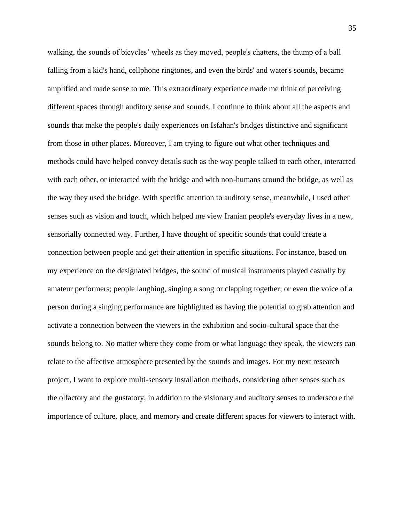walking, the sounds of bicycles' wheels as they moved, people's chatters, the thump of a ball falling from a kid's hand, cellphone ringtones, and even the birds' and water's sounds, became amplified and made sense to me. This extraordinary experience made me think of perceiving different spaces through auditory sense and sounds. I continue to think about all the aspects and sounds that make the people's daily experiences on Isfahan's bridges distinctive and significant from those in other places. Moreover, I am trying to figure out what other techniques and methods could have helped convey details such as the way people talked to each other, interacted with each other, or interacted with the bridge and with non-humans around the bridge, as well as the way they used the bridge. With specific attention to auditory sense, meanwhile, I used other senses such as vision and touch, which helped me view Iranian people's everyday lives in a new, sensorially connected way. Further, I have thought of specific sounds that could create a connection between people and get their attention in specific situations. For instance, based on my experience on the designated bridges, the sound of musical instruments played casually by amateur performers; people laughing, singing a song or clapping together; or even the voice of a person during a singing performance are highlighted as having the potential to grab attention and activate a connection between the viewers in the exhibition and socio-cultural space that the sounds belong to. No matter where they come from or what language they speak, the viewers can relate to the affective atmosphere presented by the sounds and images. For my next research project, I want to explore multi-sensory installation methods, considering other senses such as the olfactory and the gustatory, in addition to the visionary and auditory senses to underscore the importance of culture, place, and memory and create different spaces for viewers to interact with.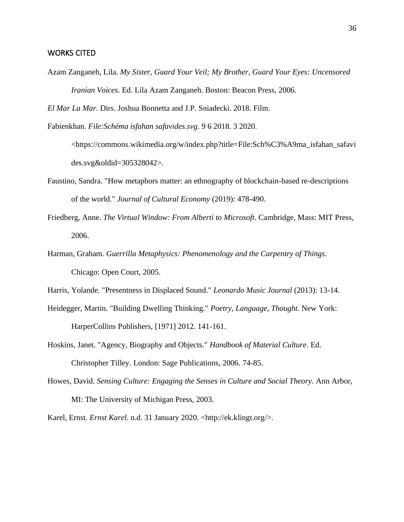#### <span id="page-36-0"></span>WORKS CITED

Azam Zanganeh, Lila. *My Sister, Guard Your Veil; My Brother, Guard Your Eyes: Uncensored Iranian Voices*. Ed. Lila Azam Zanganeh. Boston: Beacon Press, 2006.

Fabienkhan. *File:Schéma isfahan safavides.svg*. 9 6 2018. 3 2020.

<https://commons.wikimedia.org/w/index.php?title=File:Sch%C3%A9ma\_isfahan\_safavi des.svg&oldid=305328042>.

- Faustino, Sandra. "How metaphors matter: an ethnography of blockchain-based re-descriptions of the world." *Journal of Cultural Economy* (2019): 478-490.
- Friedberg, Anne. *The Virtual Window: From Alberti to Microsoft*. Cambridge, Mass: MIT Press, 2006.
- Harman, Graham. *Guerrilla Metaphysics: Phenomenology and the Carpentry of Things*. Chicago: Open Court, 2005.

Harris, Yolande. "Presentness in Displaced Sound." *Leonardo Music Journal* (2013): 13-14.

- Heidegger, Martin. "Building Dwelling Thinking." *Poetry, Language, Thought*. New York: HarperCollins Publishers, [1971] 2012. 141-161.
- Hoskins, Janet. "Agency, Biography and Objects." *Handbook of Material Culture*. Ed. Christopher Tilley. London: Sage Publications, 2006. 74-85.
- Howes, David. *Sensing Culture: Engaging the Senses in Culture and Social Theory*. Ann Arbor, MI: The University of Michigan Press, 2003.

Karel, Ernst. *Ernst Karel*. n.d. 31 January 2020. <http://ek.klingt.org/>.

*El Mar La Mar*. Dirs. Joshua Bonnetta and J.P. Sniadecki. 2018. Film.